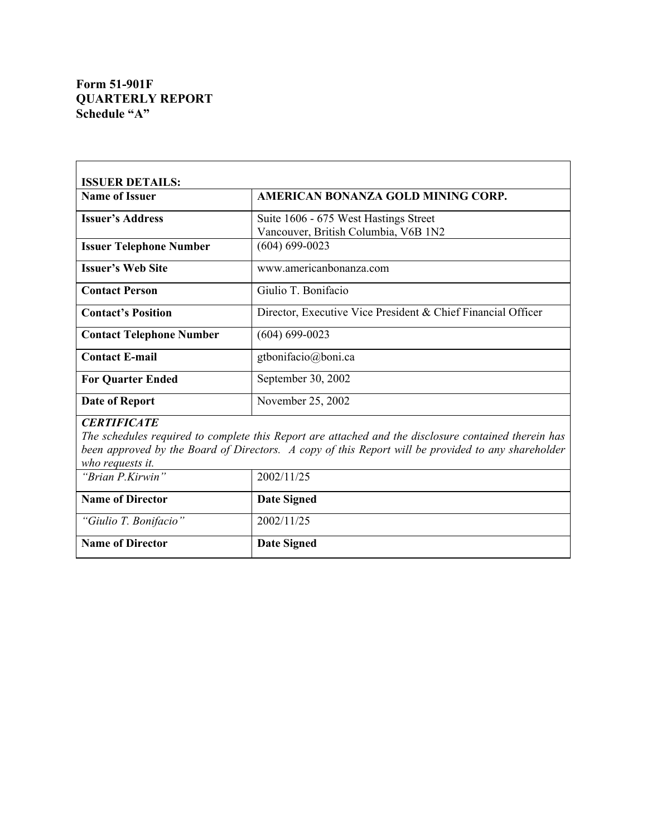# **Form 51-901F QUARTERLY REPORT Schedule "A"**

| <b>ISSUER DETAILS:</b>                                                                                                                                                                                                                               |                                                                               |  |
|------------------------------------------------------------------------------------------------------------------------------------------------------------------------------------------------------------------------------------------------------|-------------------------------------------------------------------------------|--|
| <b>Name of Issuer</b>                                                                                                                                                                                                                                | AMERICAN BONANZA GOLD MINING CORP.                                            |  |
| <b>Issuer's Address</b>                                                                                                                                                                                                                              | Suite 1606 - 675 West Hastings Street<br>Vancouver, British Columbia, V6B 1N2 |  |
| <b>Issuer Telephone Number</b>                                                                                                                                                                                                                       | $(604) 699 - 0023$                                                            |  |
| <b>Issuer's Web Site</b>                                                                                                                                                                                                                             | www.americanbonanza.com                                                       |  |
| <b>Contact Person</b>                                                                                                                                                                                                                                | Giulio T. Bonifacio                                                           |  |
| <b>Contact's Position</b>                                                                                                                                                                                                                            | Director, Executive Vice President & Chief Financial Officer                  |  |
| <b>Contact Telephone Number</b>                                                                                                                                                                                                                      | $(604) 699 - 0023$                                                            |  |
| <b>Contact E-mail</b>                                                                                                                                                                                                                                | gtbonifacio@boni.ca                                                           |  |
| <b>For Quarter Ended</b>                                                                                                                                                                                                                             | September 30, 2002                                                            |  |
| Date of Report                                                                                                                                                                                                                                       | November 25, 2002                                                             |  |
| <b>CERTIFICATE</b><br>The schedules required to complete this Report are attached and the disclosure contained therein has<br>been approved by the Board of Directors. A copy of this Report will be provided to any shareholder<br>who requests it. |                                                                               |  |
| "Brian P.Kirwin"                                                                                                                                                                                                                                     | 2002/11/25                                                                    |  |
| <b>Name of Director</b>                                                                                                                                                                                                                              | <b>Date Signed</b>                                                            |  |
| "Giulio T. Bonifacio"                                                                                                                                                                                                                                | 2002/11/25                                                                    |  |
| <b>Name of Director</b>                                                                                                                                                                                                                              | <b>Date Signed</b>                                                            |  |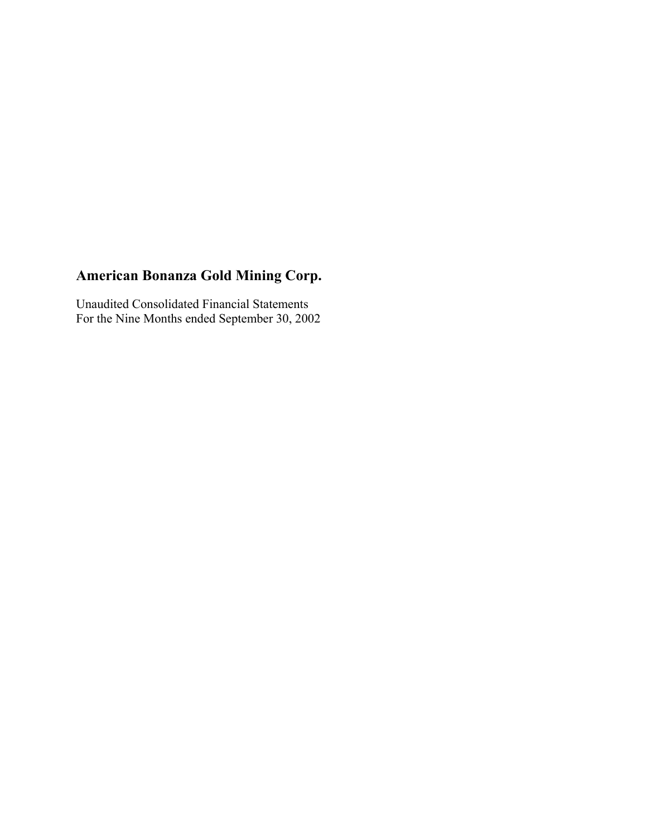Unaudited Consolidated Financial Statements For the Nine Months ended September 30, 2002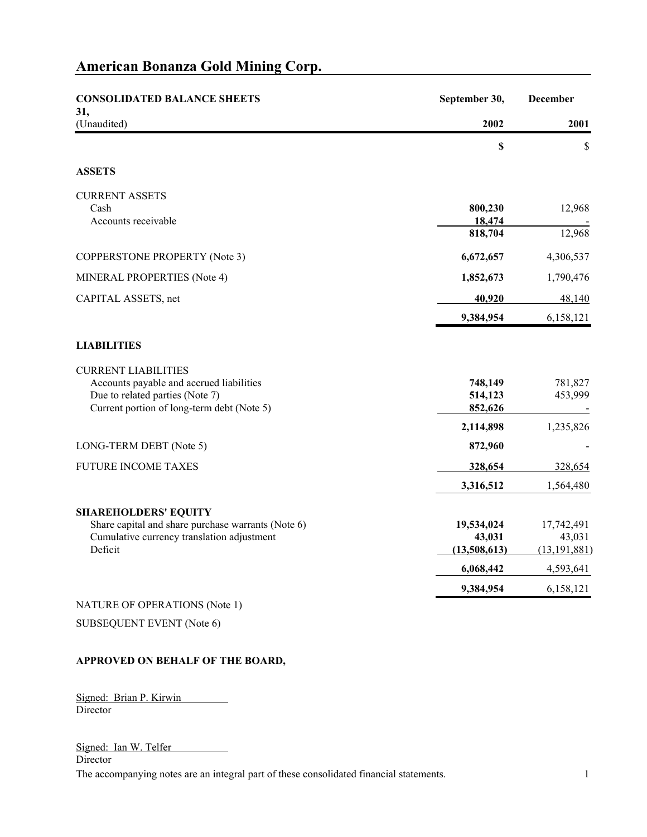| <b>CONSOLIDATED BALANCE SHEETS</b>                                                                                                                      | September 30,                 | <b>December</b>          |
|---------------------------------------------------------------------------------------------------------------------------------------------------------|-------------------------------|--------------------------|
| 31,<br>(Unaudited)                                                                                                                                      | 2002                          | 2001                     |
|                                                                                                                                                         | \$                            | \$                       |
| <b>ASSETS</b>                                                                                                                                           |                               |                          |
| <b>CURRENT ASSETS</b>                                                                                                                                   |                               |                          |
| Cash<br>Accounts receivable                                                                                                                             | 800,230<br>18,474             | 12,968                   |
|                                                                                                                                                         | 818,704                       | 12,968                   |
| <b>COPPERSTONE PROPERTY (Note 3)</b>                                                                                                                    | 6,672,657                     | 4,306,537                |
| MINERAL PROPERTIES (Note 4)                                                                                                                             | 1,852,673                     | 1,790,476                |
| CAPITAL ASSETS, net                                                                                                                                     | 40,920                        | 48,140                   |
|                                                                                                                                                         | 9,384,954                     | 6,158,121                |
| <b>LIABILITIES</b>                                                                                                                                      |                               |                          |
| <b>CURRENT LIABILITIES</b><br>Accounts payable and accrued liabilities<br>Due to related parties (Note 7)<br>Current portion of long-term debt (Note 5) | 748,149<br>514,123<br>852,626 | 781,827<br>453,999       |
|                                                                                                                                                         | 2,114,898                     | 1,235,826                |
| LONG-TERM DEBT (Note 5)                                                                                                                                 | 872,960                       |                          |
| <b>FUTURE INCOME TAXES</b>                                                                                                                              | 328,654                       | 328,654                  |
|                                                                                                                                                         | 3,316,512                     | 1,564,480                |
| <b>SHAREHOLDERS' EQUITY</b>                                                                                                                             |                               |                          |
| Share capital and share purchase warrants (Note 6)                                                                                                      | 19,534,024                    | 17,742,491               |
| Cumulative currency translation adjustment<br>Deficit                                                                                                   | 43,031<br>(13,508,613)        | 43,031<br>(13, 191, 881) |
|                                                                                                                                                         | 6,068,442                     | 4,593,641                |
|                                                                                                                                                         | 9,384,954                     | 6,158,121                |
| NATURE OF OPERATIONS (Note 1)                                                                                                                           |                               |                          |
| <b>SUBSEQUENT EVENT (Note 6)</b>                                                                                                                        |                               |                          |

### **APPROVED ON BEHALF OF THE BOARD,**

Signed: Brian P. Kirwin **Director** 

### Signed: Ian W. Telfer

Director

The accompanying notes are an integral part of these consolidated financial statements. 1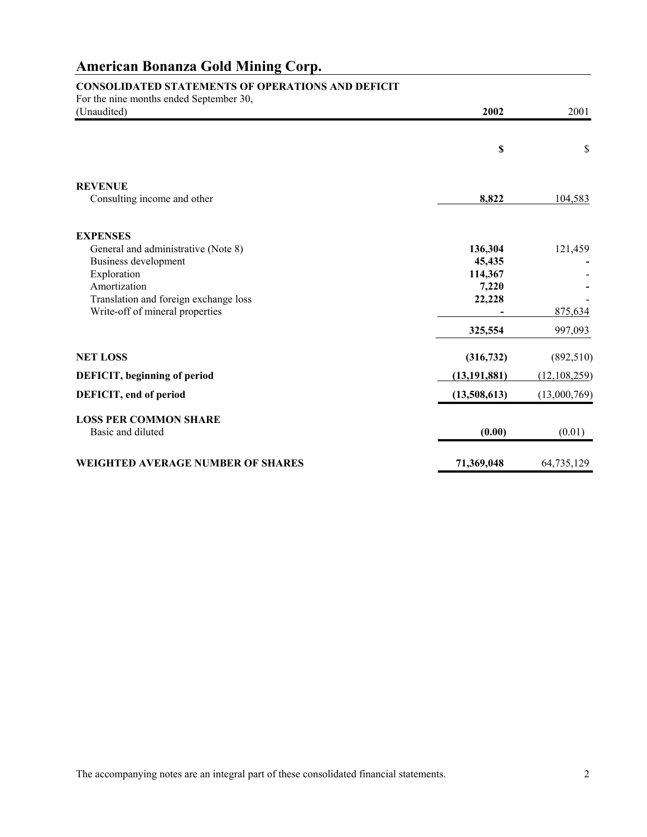# **CONSOLIDATED STATEMENTS OF OPERATIONS AND DEFICIT**

| For the nine months ended September 30,  |                |                |
|------------------------------------------|----------------|----------------|
| (Unaudited)                              | 2002           | 2001           |
|                                          | \$             | \$             |
|                                          |                |                |
| <b>REVENUE</b>                           |                |                |
| Consulting income and other              | 8,822          | 104,583        |
| <b>EXPENSES</b>                          |                |                |
| General and administrative (Note 8)      | 136,304        | 121,459        |
| Business development                     | 45,435         |                |
| Exploration                              | 114,367        |                |
| Amortization                             | 7,220          |                |
| Translation and foreign exchange loss    | 22,228         |                |
| Write-off of mineral properties          |                | 875,634        |
|                                          | 325,554        | 997,093        |
| <b>NET LOSS</b>                          | (316, 732)     | (892, 510)     |
| DEFICIT, beginning of period             | (13, 191, 881) | (12, 108, 259) |
| DEFICIT, end of period                   | (13,508,613)   | (13,000,769)   |
| <b>LOSS PER COMMON SHARE</b>             |                |                |
| Basic and diluted                        | (0.00)         | (0.01)         |
| <b>WEIGHTED AVERAGE NUMBER OF SHARES</b> | 71,369,048     | 64,735,129     |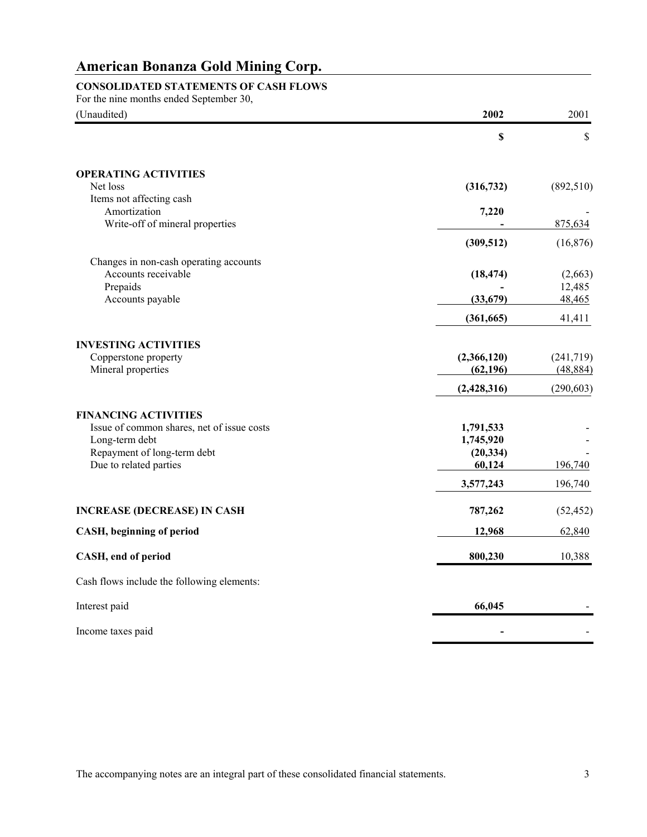## **CONSOLIDATED STATEMENTS OF CASH FLOWS**

For the nine months ended September 30,

| (Unaudited)                                | 2002        | 2001       |
|--------------------------------------------|-------------|------------|
|                                            | $\mathbb S$ | \$         |
| <b>OPERATING ACTIVITIES</b><br>Net loss    | (316, 732)  | (892, 510) |
| Items not affecting cash                   |             |            |
| Amortization                               | 7,220       |            |
| Write-off of mineral properties            |             | 875,634    |
|                                            | (309, 512)  | (16, 876)  |
| Changes in non-cash operating accounts     |             |            |
| Accounts receivable                        | (18, 474)   | (2,663)    |
| Prepaids                                   |             | 12,485     |
| Accounts payable                           | (33,679)    | 48,465     |
|                                            | (361, 665)  | 41,411     |
| <b>INVESTING ACTIVITIES</b>                |             |            |
| Copperstone property                       | (2,366,120) | (241,719)  |
| Mineral properties                         | (62, 196)   | (48, 884)  |
|                                            | (2,428,316) | (290, 603) |
| <b>FINANCING ACTIVITIES</b>                |             |            |
| Issue of common shares, net of issue costs | 1,791,533   |            |
| Long-term debt                             | 1,745,920   |            |
| Repayment of long-term debt                | (20, 334)   |            |
| Due to related parties                     | 60,124      | 196,740    |
|                                            | 3,577,243   | 196,740    |
| <b>INCREASE (DECREASE) IN CASH</b>         | 787,262     | (52, 452)  |
| CASH, beginning of period                  | 12,968      | 62,840     |
| CASH, end of period                        | 800,230     | 10,388     |
| Cash flows include the following elements: |             |            |
| Interest paid                              | 66,045      |            |
| Income taxes paid                          |             |            |

The accompanying notes are an integral part of these consolidated financial statements. 3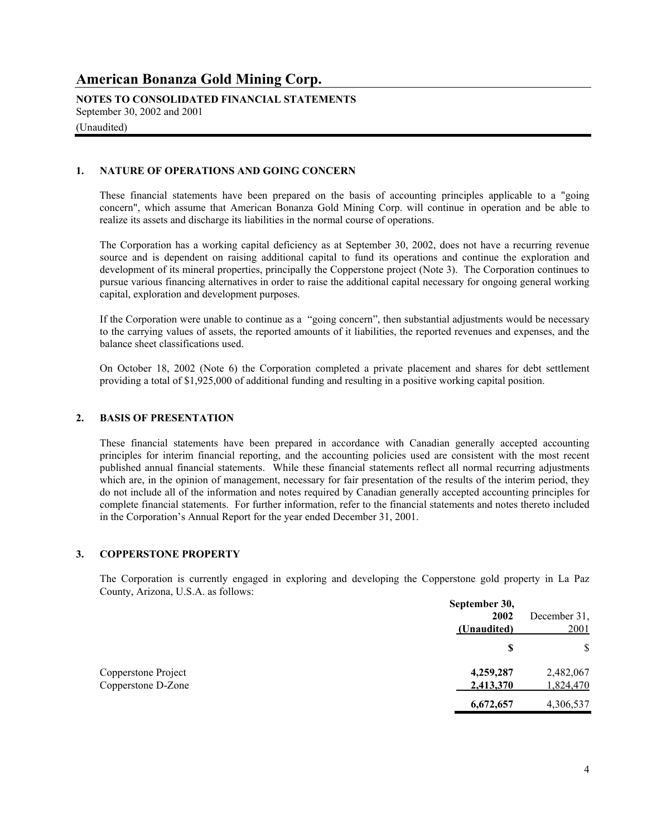**NOTES TO CONSOLIDATED FINANCIAL STATEMENTS** September 30, 2002 and 2001

(Unaudited)

### **1. NATURE OF OPERATIONS AND GOING CONCERN**

These financial statements have been prepared on the basis of accounting principles applicable to a "going concern", which assume that American Bonanza Gold Mining Corp. will continue in operation and be able to realize its assets and discharge its liabilities in the normal course of operations.

The Corporation has a working capital deficiency as at September 30, 2002, does not have a recurring revenue source and is dependent on raising additional capital to fund its operations and continue the exploration and development of its mineral properties, principally the Copperstone project (Note 3). The Corporation continues to pursue various financing alternatives in order to raise the additional capital necessary for ongoing general working capital, exploration and development purposes.

If the Corporation were unable to continue as a "going concern", then substantial adjustments would be necessary to the carrying values of assets, the reported amounts of it liabilities, the reported revenues and expenses, and the balance sheet classifications used.

On October 18, 2002 (Note 6) the Corporation completed a private placement and shares for debt settlement providing a total of \$1,925,000 of additional funding and resulting in a positive working capital position.

### **2. BASIS OF PRESENTATION**

These financial statements have been prepared in accordance with Canadian generally accepted accounting principles for interim financial reporting, and the accounting policies used are consistent with the most recent published annual financial statements. While these financial statements reflect all normal recurring adjustments which are, in the opinion of management, necessary for fair presentation of the results of the interim period, they do not include all of the information and notes required by Canadian generally accepted accounting principles for complete financial statements. For further information, refer to the financial statements and notes thereto included in the Corporation's Annual Report for the year ended December 31, 2001.

### **3. COPPERSTONE PROPERTY**

The Corporation is currently engaged in exploring and developing the Copperstone gold property in La Paz County, Arizona, U.S.A. as follows:

|                     | September 30,<br>2002 | December 31, |
|---------------------|-----------------------|--------------|
|                     | (Unaudited)<br>S      | 2001<br>\$   |
| Copperstone Project | 4,259,287             | 2,482,067    |
| Copperstone D-Zone  | 2,413,370             | 1,824,470    |
|                     | 6,672,657             | 4,306,537    |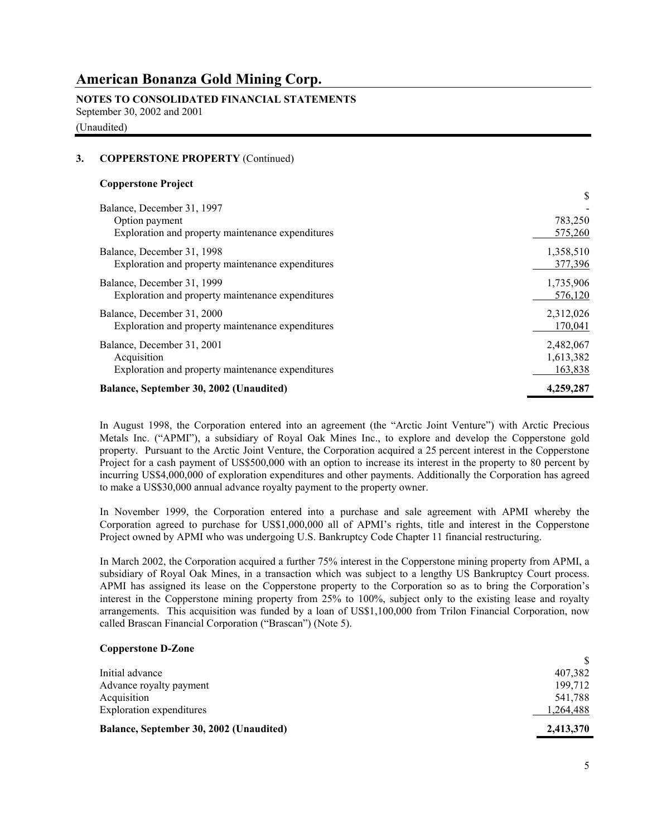# **NOTES TO CONSOLIDATED FINANCIAL STATEMENTS**

September 30, 2002 and 2001

(Unaudited)

### **3. COPPERSTONE PROPERTY** (Continued)

### **Copperstone Project**

| Balance, December 31, 1997                        |           |
|---------------------------------------------------|-----------|
| Option payment                                    | 783,250   |
| Exploration and property maintenance expenditures | 575,260   |
| Balance, December 31, 1998                        | 1,358,510 |
| Exploration and property maintenance expenditures | 377,396   |
| Balance, December 31, 1999                        | 1,735,906 |
| Exploration and property maintenance expenditures | 576,120   |
| Balance, December 31, 2000                        | 2,312,026 |
| Exploration and property maintenance expenditures | 170,041   |
| Balance, December 31, 2001                        | 2,482,067 |
| Acquisition                                       | 1,613,382 |
| Exploration and property maintenance expenditures | 163,838   |
| Balance, September 30, 2002 (Unaudited)           | 4,259,287 |

In August 1998, the Corporation entered into an agreement (the "Arctic Joint Venture") with Arctic Precious Metals Inc. ("APMI"), a subsidiary of Royal Oak Mines Inc., to explore and develop the Copperstone gold property. Pursuant to the Arctic Joint Venture, the Corporation acquired a 25 percent interest in the Copperstone Project for a cash payment of US\$500,000 with an option to increase its interest in the property to 80 percent by incurring US\$4,000,000 of exploration expenditures and other payments. Additionally the Corporation has agreed to make a US\$30,000 annual advance royalty payment to the property owner.

 In November 1999, the Corporation entered into a purchase and sale agreement with APMI whereby the Corporation agreed to purchase for US\$1,000,000 all of APMI's rights, title and interest in the Copperstone Project owned by APMI who was undergoing U.S. Bankruptcy Code Chapter 11 financial restructuring.

In March 2002, the Corporation acquired a further 75% interest in the Copperstone mining property from APMI, a subsidiary of Royal Oak Mines, in a transaction which was subject to a lengthy US Bankruptcy Court process. APMI has assigned its lease on the Copperstone property to the Corporation so as to bring the Corporation's interest in the Copperstone mining property from 25% to 100%, subject only to the existing lease and royalty arrangements. This acquisition was funded by a loan of US\$1,100,000 from Trilon Financial Corporation, now called Brascan Financial Corporation ("Brascan") (Note 5).

### **Copperstone D-Zone**

| Balance, September 30, 2002 (Unaudited) | 2,413,370 |
|-----------------------------------------|-----------|
| <b>Exploration</b> expenditures         | .264,488  |
| Acquisition                             | 541,788   |
| Advance royalty payment                 | 199.712   |
| Initial advance                         | 407,382   |
|                                         |           |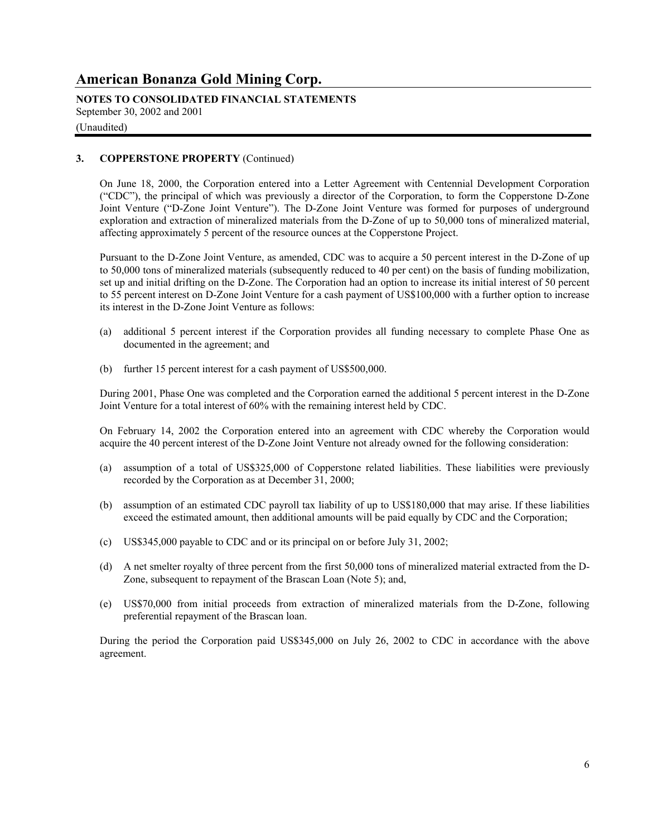**NOTES TO CONSOLIDATED FINANCIAL STATEMENTS** September 30, 2002 and 2001

## (Unaudited)

### **3. COPPERSTONE PROPERTY** (Continued)

On June 18, 2000, the Corporation entered into a Letter Agreement with Centennial Development Corporation ("CDC"), the principal of which was previously a director of the Corporation, to form the Copperstone D-Zone Joint Venture ("D-Zone Joint Venture"). The D-Zone Joint Venture was formed for purposes of underground exploration and extraction of mineralized materials from the D-Zone of up to 50,000 tons of mineralized material, affecting approximately 5 percent of the resource ounces at the Copperstone Project.

Pursuant to the D-Zone Joint Venture, as amended, CDC was to acquire a 50 percent interest in the D-Zone of up to 50,000 tons of mineralized materials (subsequently reduced to 40 per cent) on the basis of funding mobilization, set up and initial drifting on the D-Zone. The Corporation had an option to increase its initial interest of 50 percent to 55 percent interest on D-Zone Joint Venture for a cash payment of US\$100,000 with a further option to increase its interest in the D-Zone Joint Venture as follows:

- (a) additional 5 percent interest if the Corporation provides all funding necessary to complete Phase One as documented in the agreement; and
- (b) further 15 percent interest for a cash payment of US\$500,000.

During 2001, Phase One was completed and the Corporation earned the additional 5 percent interest in the D-Zone Joint Venture for a total interest of 60% with the remaining interest held by CDC.

On February 14, 2002 the Corporation entered into an agreement with CDC whereby the Corporation would acquire the 40 percent interest of the D-Zone Joint Venture not already owned for the following consideration:

- (a) assumption of a total of US\$325,000 of Copperstone related liabilities. These liabilities were previously recorded by the Corporation as at December 31, 2000;
- (b) assumption of an estimated CDC payroll tax liability of up to US\$180,000 that may arise. If these liabilities exceed the estimated amount, then additional amounts will be paid equally by CDC and the Corporation;
- (c) US\$345,000 payable to CDC and or its principal on or before July 31, 2002;
- (d) A net smelter royalty of three percent from the first 50,000 tons of mineralized material extracted from the D-Zone, subsequent to repayment of the Brascan Loan (Note 5); and,
- (e) US\$70,000 from initial proceeds from extraction of mineralized materials from the D-Zone, following preferential repayment of the Brascan loan.

During the period the Corporation paid US\$345,000 on July 26, 2002 to CDC in accordance with the above agreement.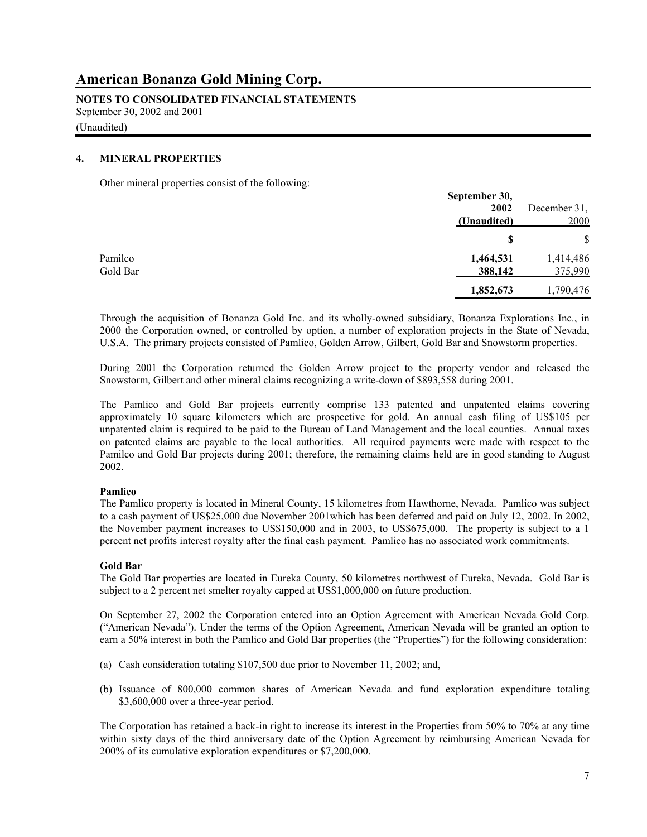**NOTES TO CONSOLIDATED FINANCIAL STATEMENTS** September 30, 2002 and 2001

(Unaudited)

#### **4. MINERAL PROPERTIES**

Other mineral properties consist of the following:

|          | September 30, |              |
|----------|---------------|--------------|
|          | 2002          | December 31, |
|          | (Unaudited)   | 2000         |
|          | S             | \$           |
| Pamilco  | 1,464,531     | 1,414,486    |
| Gold Bar | 388,142       | 375,990      |
|          | 1,852,673     | 1,790,476    |

 Through the acquisition of Bonanza Gold Inc. and its wholly-owned subsidiary, Bonanza Explorations Inc., in 2000 the Corporation owned, or controlled by option, a number of exploration projects in the State of Nevada, U.S.A. The primary projects consisted of Pamlico, Golden Arrow, Gilbert, Gold Bar and Snowstorm properties.

 During 2001 the Corporation returned the Golden Arrow project to the property vendor and released the Snowstorm, Gilbert and other mineral claims recognizing a write-down of \$893,558 during 2001.

 The Pamlico and Gold Bar projects currently comprise 133 patented and unpatented claims covering approximately 10 square kilometers which are prospective for gold. An annual cash filing of US\$105 per unpatented claim is required to be paid to the Bureau of Land Management and the local counties. Annual taxes on patented claims are payable to the local authorities. All required payments were made with respect to the Pamilco and Gold Bar projects during 2001; therefore, the remaining claims held are in good standing to August 2002.

### **Pamlico**

 The Pamlico property is located in Mineral County, 15 kilometres from Hawthorne, Nevada. Pamlico was subject to a cash payment of US\$25,000 due November 2001which has been deferred and paid on July 12, 2002. In 2002, the November payment increases to US\$150,000 and in 2003, to US\$675,000. The property is subject to a 1 percent net profits interest royalty after the final cash payment. Pamlico has no associated work commitments.

## **Gold Bar**

 The Gold Bar properties are located in Eureka County, 50 kilometres northwest of Eureka, Nevada. Gold Bar is subject to a 2 percent net smelter royalty capped at US\$1,000,000 on future production.

 On September 27, 2002 the Corporation entered into an Option Agreement with American Nevada Gold Corp. ("American Nevada"). Under the terms of the Option Agreement, American Nevada will be granted an option to earn a 50% interest in both the Pamlico and Gold Bar properties (the "Properties") for the following consideration:

- (a) Cash consideration totaling \$107,500 due prior to November 11, 2002; and,
- (b) Issuance of 800,000 common shares of American Nevada and fund exploration expenditure totaling \$3,600,000 over a three-year period.

The Corporation has retained a back-in right to increase its interest in the Properties from 50% to 70% at any time within sixty days of the third anniversary date of the Option Agreement by reimbursing American Nevada for 200% of its cumulative exploration expenditures or \$7,200,000.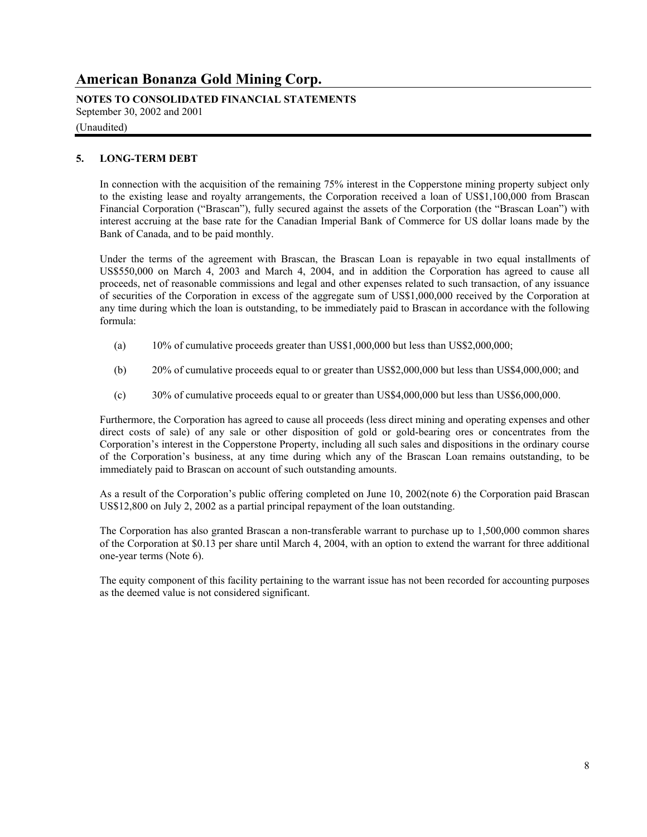**NOTES TO CONSOLIDATED FINANCIAL STATEMENTS** September 30, 2002 and 2001

### (Unaudited)

### **5. LONG-TERM DEBT**

In connection with the acquisition of the remaining 75% interest in the Copperstone mining property subject only to the existing lease and royalty arrangements, the Corporation received a loan of US\$1,100,000 from Brascan Financial Corporation ("Brascan"), fully secured against the assets of the Corporation (the "Brascan Loan") with interest accruing at the base rate for the Canadian Imperial Bank of Commerce for US dollar loans made by the Bank of Canada, and to be paid monthly.

Under the terms of the agreement with Brascan, the Brascan Loan is repayable in two equal installments of US\$550,000 on March 4, 2003 and March 4, 2004, and in addition the Corporation has agreed to cause all proceeds, net of reasonable commissions and legal and other expenses related to such transaction, of any issuance of securities of the Corporation in excess of the aggregate sum of US\$1,000,000 received by the Corporation at any time during which the loan is outstanding, to be immediately paid to Brascan in accordance with the following formula:

- (a) 10% of cumulative proceeds greater than US\$1,000,000 but less than US\$2,000,000;
- (b) 20% of cumulative proceeds equal to or greater than US\$2,000,000 but less than US\$4,000,000; and
- (c) 30% of cumulative proceeds equal to or greater than US\$4,000,000 but less than US\$6,000,000.

Furthermore, the Corporation has agreed to cause all proceeds (less direct mining and operating expenses and other direct costs of sale) of any sale or other disposition of gold or gold-bearing ores or concentrates from the Corporation's interest in the Copperstone Property, including all such sales and dispositions in the ordinary course of the Corporation's business, at any time during which any of the Brascan Loan remains outstanding, to be immediately paid to Brascan on account of such outstanding amounts.

As a result of the Corporation's public offering completed on June 10, 2002(note 6) the Corporation paid Brascan US\$12,800 on July 2, 2002 as a partial principal repayment of the loan outstanding.

The Corporation has also granted Brascan a non-transferable warrant to purchase up to 1,500,000 common shares of the Corporation at \$0.13 per share until March 4, 2004, with an option to extend the warrant for three additional one-year terms (Note 6).

 The equity component of this facility pertaining to the warrant issue has not been recorded for accounting purposes as the deemed value is not considered significant.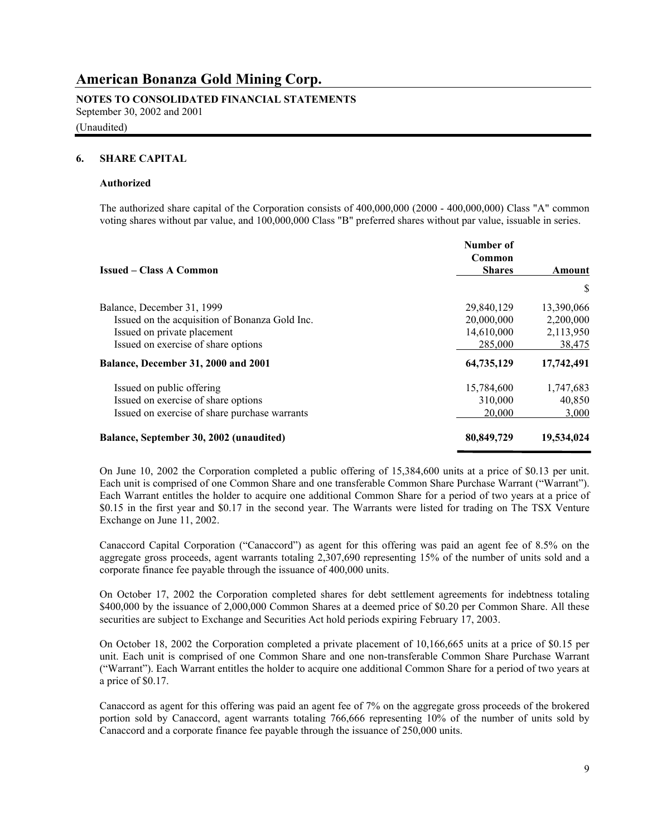#### **NOTES TO CONSOLIDATED FINANCIAL STATEMENTS** September 30, 2002 and 2001

## (Unaudited)

#### **6. SHARE CAPITAL**

#### **Authorized**

The authorized share capital of the Corporation consists of 400,000,000 (2000 - 400,000,000) Class "A" common voting shares without par value, and 100,000,000 Class "B" preferred shares without par value, issuable in series.

| <b>Issued – Class A Common</b>                 | Number of<br>Common<br><b>Shares</b> | Amount     |
|------------------------------------------------|--------------------------------------|------------|
|                                                |                                      | S          |
| Balance, December 31, 1999                     | 29,840,129                           | 13,390,066 |
| Issued on the acquisition of Bonanza Gold Inc. | 20,000,000                           | 2,200,000  |
| Issued on private placement                    | 14,610,000                           | 2,113,950  |
| Issued on exercise of share options            | 285,000                              | 38,475     |
| Balance, December 31, 2000 and 2001            | 64,735,129                           | 17,742,491 |
| Issued on public offering                      | 15,784,600                           | 1,747,683  |
| Issued on exercise of share options            | 310,000                              | 40,850     |
| Issued on exercise of share purchase warrants  | 20,000                               | 3,000      |
| Balance, September 30, 2002 (unaudited)        | 80,849,729                           | 19,534,024 |

On June 10, 2002 the Corporation completed a public offering of 15,384,600 units at a price of \$0.13 per unit. Each unit is comprised of one Common Share and one transferable Common Share Purchase Warrant ("Warrant"). Each Warrant entitles the holder to acquire one additional Common Share for a period of two years at a price of \$0.15 in the first year and \$0.17 in the second year. The Warrants were listed for trading on The TSX Venture Exchange on June 11, 2002.

Canaccord Capital Corporation ("Canaccord") as agent for this offering was paid an agent fee of 8.5% on the aggregate gross proceeds, agent warrants totaling 2,307,690 representing 15% of the number of units sold and a corporate finance fee payable through the issuance of 400,000 units.

On October 17, 2002 the Corporation completed shares for debt settlement agreements for indebtness totaling \$400,000 by the issuance of 2,000,000 Common Shares at a deemed price of \$0.20 per Common Share. All these securities are subject to Exchange and Securities Act hold periods expiring February 17, 2003.

On October 18, 2002 the Corporation completed a private placement of 10,166,665 units at a price of \$0.15 per unit. Each unit is comprised of one Common Share and one non-transferable Common Share Purchase Warrant ("Warrant"). Each Warrant entitles the holder to acquire one additional Common Share for a period of two years at a price of \$0.17.

Canaccord as agent for this offering was paid an agent fee of 7% on the aggregate gross proceeds of the brokered portion sold by Canaccord, agent warrants totaling 766,666 representing 10% of the number of units sold by Canaccord and a corporate finance fee payable through the issuance of 250,000 units.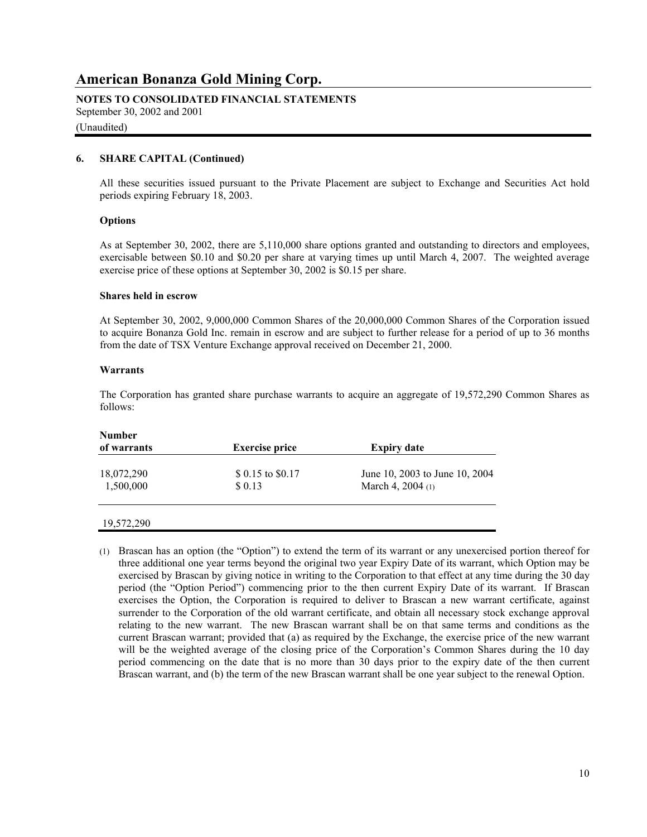## **NOTES TO CONSOLIDATED FINANCIAL STATEMENTS**

September 30, 2002 and 2001

#### (Unaudited)

### **6. SHARE CAPITAL (Continued)**

All these securities issued pursuant to the Private Placement are subject to Exchange and Securities Act hold periods expiring February 18, 2003.

#### **Options**

 As at September 30, 2002, there are 5,110,000 share options granted and outstanding to directors and employees, exercisable between \$0.10 and \$0.20 per share at varying times up until March 4, 2007. The weighted average exercise price of these options at September 30, 2002 is \$0.15 per share.

#### **Shares held in escrow**

 At September 30, 2002, 9,000,000 Common Shares of the 20,000,000 Common Shares of the Corporation issued to acquire Bonanza Gold Inc. remain in escrow and are subject to further release for a period of up to 36 months from the date of TSX Venture Exchange approval received on December 21, 2000.

#### **Warrants**

 The Corporation has granted share purchase warrants to acquire an aggregate of 19,572,290 Common Shares as follows:

| <b>Number</b><br>of warrants | <b>Exercise price</b>     | <b>Expiry date</b>             |
|------------------------------|---------------------------|--------------------------------|
| 18,072,290                   | $$0.15 \text{ to } $0.17$ | June 10, 2003 to June 10, 2004 |
| 1,500,000                    | \$ 0.13                   | March 4, $2004(1)$             |
|                              |                           |                                |

|  | 19,572,290 |  |
|--|------------|--|
|  |            |  |

(1) Brascan has an option (the "Option") to extend the term of its warrant or any unexercised portion thereof for three additional one year terms beyond the original two year Expiry Date of its warrant, which Option may be exercised by Brascan by giving notice in writing to the Corporation to that effect at any time during the 30 day period (the "Option Period") commencing prior to the then current Expiry Date of its warrant. If Brascan exercises the Option, the Corporation is required to deliver to Brascan a new warrant certificate, against surrender to the Corporation of the old warrant certificate, and obtain all necessary stock exchange approval relating to the new warrant. The new Brascan warrant shall be on that same terms and conditions as the current Brascan warrant; provided that (a) as required by the Exchange, the exercise price of the new warrant will be the weighted average of the closing price of the Corporation's Common Shares during the 10 day period commencing on the date that is no more than 30 days prior to the expiry date of the then current Brascan warrant, and (b) the term of the new Brascan warrant shall be one year subject to the renewal Option.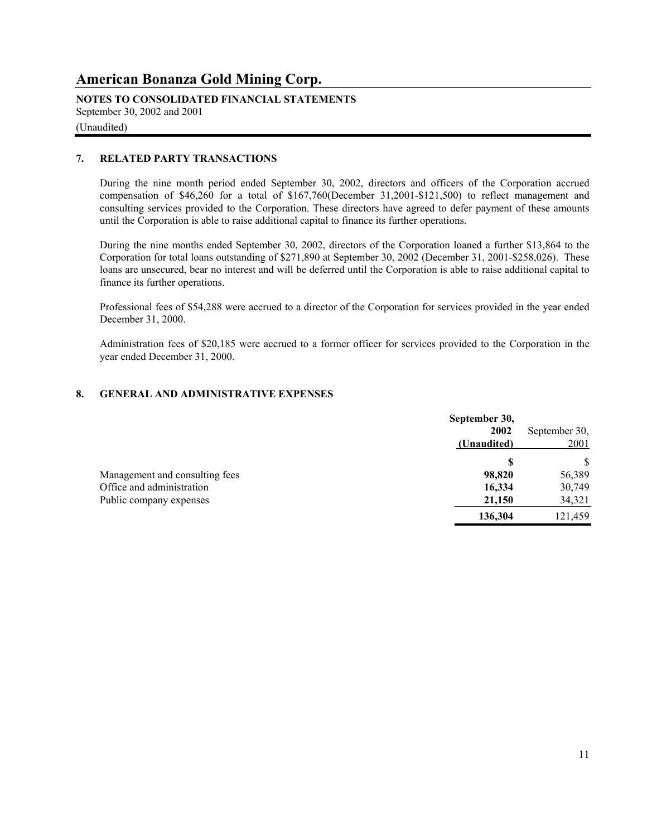**NOTES TO CONSOLIDATED FINANCIAL STATEMENTS** September 30, 2002 and 2001

## (Unaudited)

### **7. RELATED PARTY TRANSACTIONS**

During the nine month period ended September 30, 2002, directors and officers of the Corporation accrued compensation of \$46,260 for a total of \$167,760(December 31,2001-\$121,500) to reflect management and consulting services provided to the Corporation. These directors have agreed to defer payment of these amounts until the Corporation is able to raise additional capital to finance its further operations.

During the nine months ended September 30, 2002, directors of the Corporation loaned a further \$13,864 to the Corporation for total loans outstanding of \$271,890 at September 30, 2002 (December 31, 2001-\$258,026). These loans are unsecured, bear no interest and will be deferred until the Corporation is able to raise additional capital to finance its further operations.

Professional fees of \$54,288 were accrued to a director of the Corporation for services provided in the year ended December 31, 2000.

Administration fees of \$20,185 were accrued to a former officer for services provided to the Corporation in the year ended December 31, 2000.

### **8. GENERAL AND ADMINISTRATIVE EXPENSES**

|                                | September 30,<br>2002 | September 30, |
|--------------------------------|-----------------------|---------------|
|                                | (Unaudited)           | 2001          |
|                                | S                     | \$            |
| Management and consulting fees | 98,820                | 56,389        |
| Office and administration      | 16,334                | 30,749        |
| Public company expenses        | 21,150                | 34,321        |
|                                | 136,304               | 121,459       |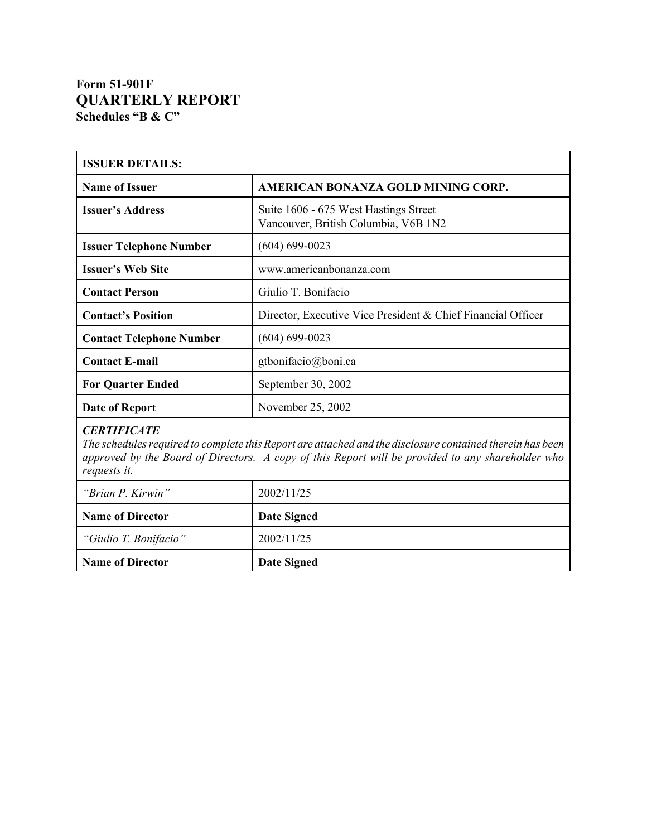# **Form 51-901F QUARTERLY REPORT Schedules "B & C"**

| <b>ISSUER DETAILS:</b>                                                                                                                                                                                                                               |                                                                               |  |  |
|------------------------------------------------------------------------------------------------------------------------------------------------------------------------------------------------------------------------------------------------------|-------------------------------------------------------------------------------|--|--|
| <b>Name of Issuer</b>                                                                                                                                                                                                                                | AMERICAN BONANZA GOLD MINING CORP.                                            |  |  |
| <b>Issuer's Address</b>                                                                                                                                                                                                                              | Suite 1606 - 675 West Hastings Street<br>Vancouver, British Columbia, V6B 1N2 |  |  |
| <b>Issuer Telephone Number</b>                                                                                                                                                                                                                       | $(604) 699 - 0023$                                                            |  |  |
| <b>Issuer's Web Site</b>                                                                                                                                                                                                                             | www.americanbonanza.com                                                       |  |  |
| <b>Contact Person</b>                                                                                                                                                                                                                                | Giulio T. Bonifacio                                                           |  |  |
| <b>Contact's Position</b>                                                                                                                                                                                                                            | Director, Executive Vice President & Chief Financial Officer                  |  |  |
| <b>Contact Telephone Number</b>                                                                                                                                                                                                                      | $(604) 699 - 0023$                                                            |  |  |
| <b>Contact E-mail</b>                                                                                                                                                                                                                                | gtbonifacio@boni.ca                                                           |  |  |
| <b>For Quarter Ended</b>                                                                                                                                                                                                                             | September 30, 2002                                                            |  |  |
| <b>Date of Report</b>                                                                                                                                                                                                                                | November 25, 2002                                                             |  |  |
| <b>CERTIFICATE</b><br>The schedules required to complete this Report are attached and the disclosure contained therein has been<br>approved by the Board of Directors. A copy of this Report will be provided to any shareholder who<br>requests it. |                                                                               |  |  |
| "Brian P. Kirwin"                                                                                                                                                                                                                                    | 2002/11/25                                                                    |  |  |
| <b>Name of Director</b>                                                                                                                                                                                                                              | <b>Date Signed</b>                                                            |  |  |
| "Giulio T. Bonifacio"                                                                                                                                                                                                                                | 2002/11/25                                                                    |  |  |
| <b>Name of Director</b>                                                                                                                                                                                                                              | <b>Date Signed</b>                                                            |  |  |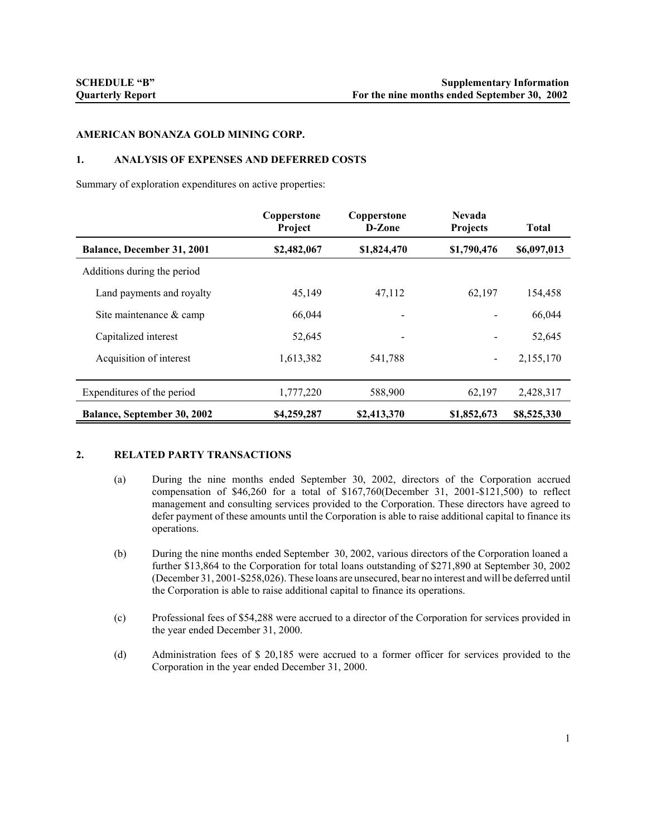#### **AMERICAN BONANZA GOLD MINING CORP.**

#### **1. ANALYSIS OF EXPENSES AND DEFERRED COSTS**

Summary of exploration expenditures on active properties:

|                                    | Copperstone<br>Project | Copperstone<br>D-Zone | <b>Nevada</b><br>Projects | <b>Total</b> |
|------------------------------------|------------------------|-----------------------|---------------------------|--------------|
| <b>Balance, December 31, 2001</b>  | \$2,482,067            | \$1,824,470           | \$1,790,476               | \$6,097,013  |
| Additions during the period        |                        |                       |                           |              |
| Land payments and royalty          | 45,149                 | 47,112                | 62,197                    | 154,458      |
| Site maintenance & camp            | 66,044                 |                       |                           | 66,044       |
| Capitalized interest               | 52,645                 |                       |                           | 52,645       |
| Acquisition of interest            | 1,613,382              | 541,788               | $\overline{\phantom{a}}$  | 2,155,170    |
| Expenditures of the period         | 1,777,220              | 588,900               | 62,197                    | 2,428,317    |
| <b>Balance, September 30, 2002</b> | \$4,259,287            | \$2,413,370           | \$1,852,673               | \$8,525,330  |

### **2. RELATED PARTY TRANSACTIONS**

- (a) During the nine months ended September 30, 2002, directors of the Corporation accrued compensation of \$46,260 for a total of \$167,760(December 31, 2001-\$121,500) to reflect management and consulting services provided to the Corporation. These directors have agreed to defer payment of these amounts until the Corporation is able to raise additional capital to finance its operations.
- (b) During the nine months ended September 30, 2002, various directors of the Corporation loaned a further \$13,864 to the Corporation for total loans outstanding of \$271,890 at September 30, 2002 (December 31, 2001-\$258,026). These loans are unsecured, bear no interest and will be deferred until the Corporation is able to raise additional capital to finance its operations.
- (c) Professional fees of \$54,288 were accrued to a director of the Corporation for services provided in the year ended December 31, 2000.
- (d) Administration fees of \$ 20,185 were accrued to a former officer for services provided to the Corporation in the year ended December 31, 2000.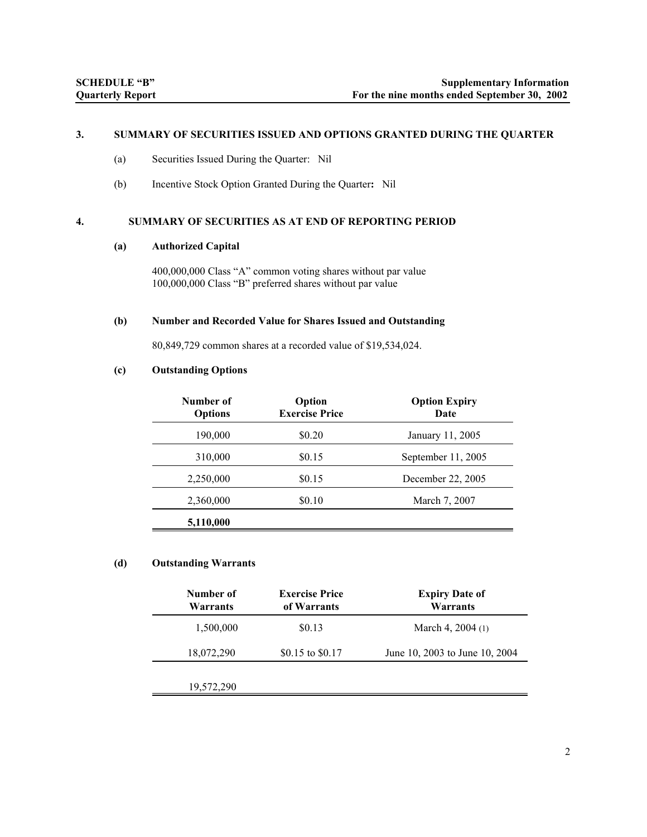#### **3. SUMMARY OF SECURITIES ISSUED AND OPTIONS GRANTED DURING THE QUARTER**

- (a) Securities Issued During the Quarter: Nil
- (b) Incentive Stock Option Granted During the Quarter**:** Nil

### **4. SUMMARY OF SECURITIES AS AT END OF REPORTING PERIOD**

#### **(a) Authorized Capital**

400,000,000 Class "A" common voting shares without par value 100,000,000 Class "B" preferred shares without par value

#### **(b) Number and Recorded Value for Shares Issued and Outstanding**

80,849,729 common shares at a recorded value of \$19,534,024.

#### **(c) Outstanding Options**

| Number of<br><b>Options</b> | Option<br><b>Exercise Price</b> | <b>Option Expiry</b><br>Date |
|-----------------------------|---------------------------------|------------------------------|
| 190,000                     | \$0.20                          | January 11, 2005             |
| 310,000                     | \$0.15                          | September 11, 2005           |
| 2,250,000                   | \$0.15                          | December 22, 2005            |
| 2,360,000                   | \$0.10                          | March 7, 2007                |
| 5,110,000                   |                                 |                              |

### **(d) Outstanding Warrants**

| Number of<br>Warrants | <b>Exercise Price</b><br>of Warrants | <b>Expiry Date of</b><br>Warrants |
|-----------------------|--------------------------------------|-----------------------------------|
| 1,500,000             | \$0.13                               | March 4, $2004(1)$                |
| 18,072,290            | \$0.15 to \$0.17                     | June 10, 2003 to June 10, 2004    |
| 19,572,290            |                                      |                                   |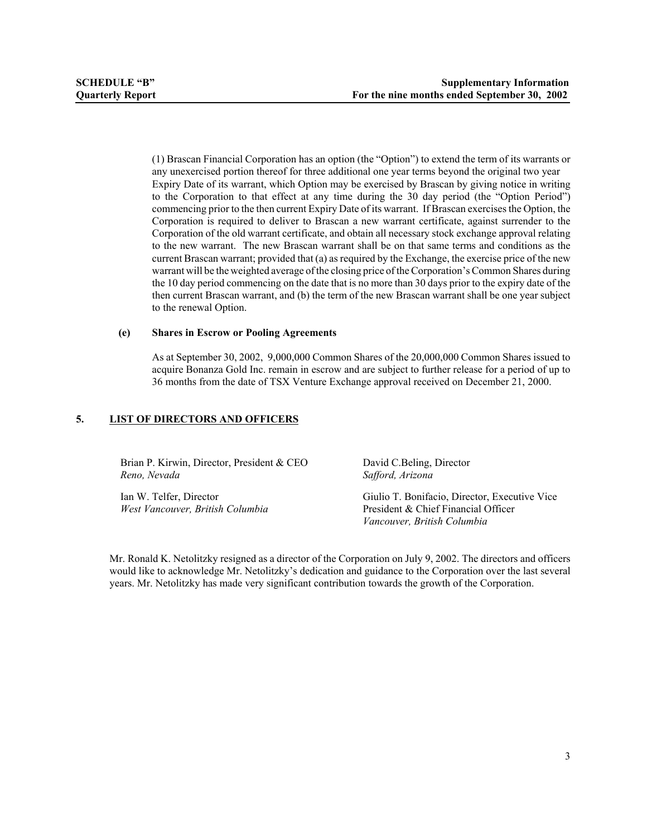(1) Brascan Financial Corporation has an option (the "Option") to extend the term of its warrants or any unexercised portion thereof for three additional one year terms beyond the original two year Expiry Date of its warrant, which Option may be exercised by Brascan by giving notice in writing to the Corporation to that effect at any time during the 30 day period (the "Option Period") commencing prior to the then current Expiry Date of its warrant. If Brascan exercises the Option, the Corporation is required to deliver to Brascan a new warrant certificate, against surrender to the Corporation of the old warrant certificate, and obtain all necessary stock exchange approval relating to the new warrant. The new Brascan warrant shall be on that same terms and conditions as the current Brascan warrant; provided that (a) as required by the Exchange, the exercise price of the new warrant will be the weighted average of the closing price of the Corporation's Common Shares during the 10 day period commencing on the date that is no more than 30 days prior to the expiry date of the then current Brascan warrant, and (b) the term of the new Brascan warrant shall be one year subject to the renewal Option.

#### **(e) Shares in Escrow or Pooling Agreements**

As at September 30, 2002, 9,000,000 Common Shares of the 20,000,000 Common Shares issued to acquire Bonanza Gold Inc. remain in escrow and are subject to further release for a period of up to 36 months from the date of TSX Venture Exchange approval received on December 21, 2000.

### **5. LIST OF DIRECTORS AND OFFICERS**

Brian P. Kirwin, Director, President & CEO *Reno, Nevada*

Ian W. Telfer, Director *West Vancouver, British Columbia* David C.Beling, Director *Safford, Arizona*

Giulio T. Bonifacio, Director, Executive Vice President & Chief Financial Officer *Vancouver, British Columbia*

Mr. Ronald K. Netolitzky resigned as a director of the Corporation on July 9, 2002. The directors and officers would like to acknowledge Mr. Netolitzky's dedication and guidance to the Corporation over the last several years. Mr. Netolitzky has made very significant contribution towards the growth of the Corporation.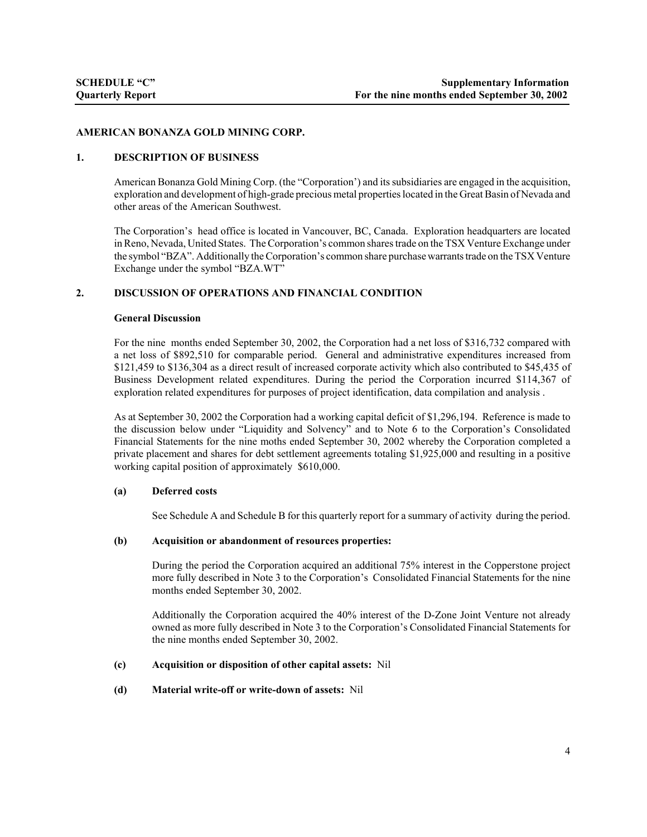#### **AMERICAN BONANZA GOLD MINING CORP.**

#### **1. DESCRIPTION OF BUSINESS**

American Bonanza Gold Mining Corp. (the "Corporation') and its subsidiaries are engaged in the acquisition, exploration and development of high-grade precious metal properties located in the Great Basin of Nevada and other areas of the American Southwest.

The Corporation's head office is located in Vancouver, BC, Canada. Exploration headquarters are located in Reno, Nevada, United States. The Corporation's common shares trade on the TSX Venture Exchange under the symbol "BZA". Additionally the Corporation's common share purchase warrants trade on the TSX Venture Exchange under the symbol "BZA.WT"

#### **2. DISCUSSION OF OPERATIONS AND FINANCIAL CONDITION**

#### **General Discussion**

For the nine months ended September 30, 2002, the Corporation had a net loss of \$316,732 compared with a net loss of \$892,510 for comparable period. General and administrative expenditures increased from \$121,459 to \$136,304 as a direct result of increased corporate activity which also contributed to \$45,435 of Business Development related expenditures. During the period the Corporation incurred \$114,367 of exploration related expenditures for purposes of project identification, data compilation and analysis .

As at September 30, 2002 the Corporation had a working capital deficit of \$1,296,194. Reference is made to the discussion below under "Liquidity and Solvency" and to Note 6 to the Corporation's Consolidated Financial Statements for the nine moths ended September 30, 2002 whereby the Corporation completed a private placement and shares for debt settlement agreements totaling \$1,925,000 and resulting in a positive working capital position of approximately \$610,000.

#### **(a) Deferred costs**

See Schedule A and Schedule B for this quarterly report for a summary of activity during the period.

#### **(b) Acquisition or abandonment of resources properties:**

During the period the Corporation acquired an additional 75% interest in the Copperstone project more fully described in Note 3 to the Corporation's Consolidated Financial Statements for the nine months ended September 30, 2002.

Additionally the Corporation acquired the 40% interest of the D-Zone Joint Venture not already owned as more fully described in Note 3 to the Corporation's Consolidated Financial Statements for the nine months ended September 30, 2002.

#### **(c) Acquisition or disposition of other capital assets:** Nil

#### **(d) Material write-off or write-down of assets:** Nil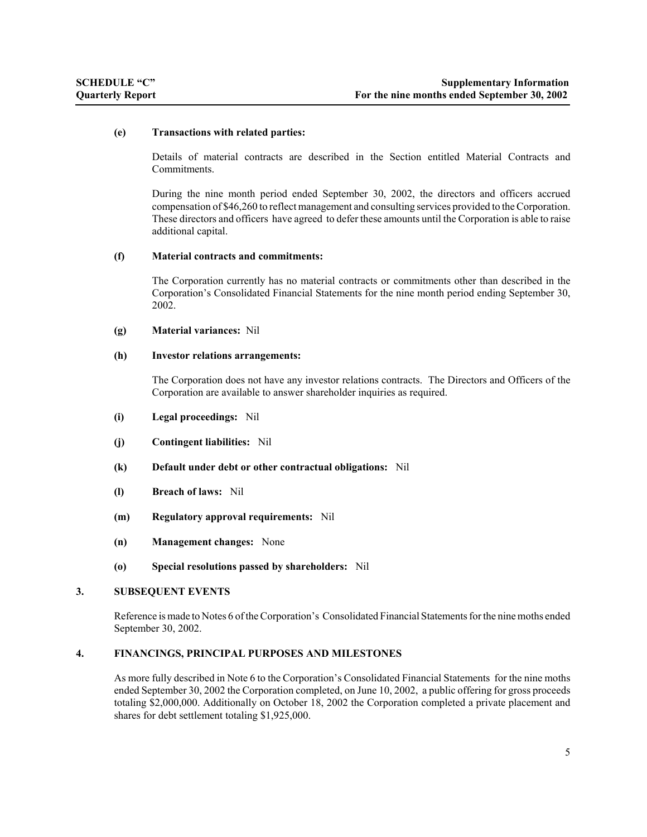#### **(e) Transactions with related parties:**

Details of material contracts are described in the Section entitled Material Contracts and Commitments.

During the nine month period ended September 30, 2002, the directors and officers accrued compensation of \$46,260 to reflect management and consulting services provided to the Corporation. These directors and officers have agreed to defer these amounts until the Corporation is able to raise additional capital.

#### **(f) Material contracts and commitments:**

The Corporation currently has no material contracts or commitments other than described in the Corporation's Consolidated Financial Statements for the nine month period ending September 30, 2002.

#### **(g) Material variances:** Nil

#### **(h) Investor relations arrangements:**

The Corporation does not have any investor relations contracts. The Directors and Officers of the Corporation are available to answer shareholder inquiries as required.

- **(i) Legal proceedings:** Nil
- **(j) Contingent liabilities:** Nil
- **(k) Default under debt or other contractual obligations:** Nil
- **(l) Breach of laws:** Nil
- **(m) Regulatory approval requirements:** Nil
- **(n) Management changes:** None
- **(o) Special resolutions passed by shareholders:** Nil

#### **3. SUBSEQUENT EVENTS**

Reference is made to Notes 6 of the Corporation's Consolidated Financial Statements for the nine moths ended September 30, 2002.

### **4. FINANCINGS, PRINCIPAL PURPOSES AND MILESTONES**

As more fully described in Note 6 to the Corporation's Consolidated Financial Statements for the nine moths ended September 30, 2002 the Corporation completed, on June 10, 2002, a public offering for gross proceeds totaling \$2,000,000. Additionally on October 18, 2002 the Corporation completed a private placement and shares for debt settlement totaling \$1,925,000.